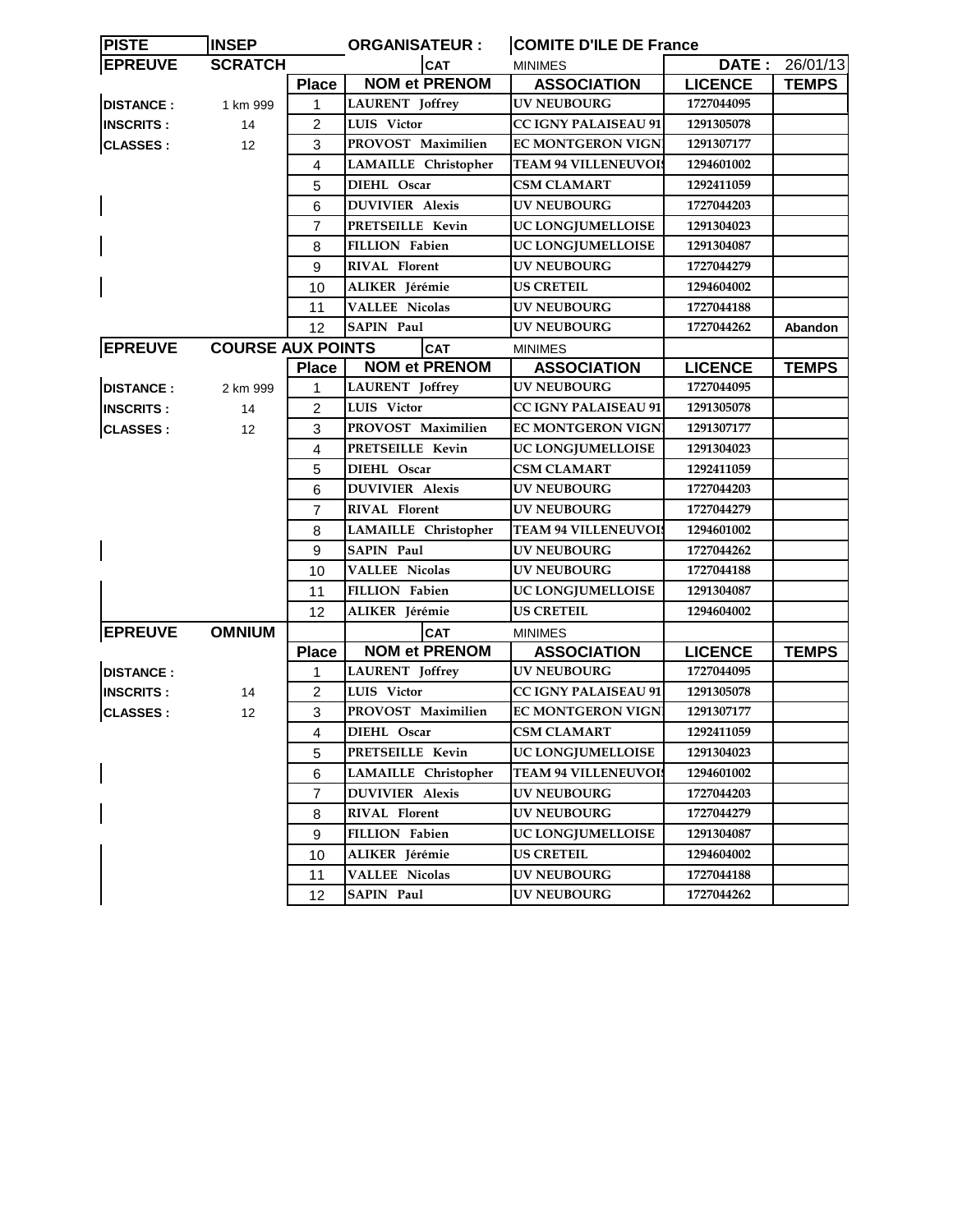| <b>INSEP</b><br><b>PISTE</b> |                          |                | <b>ORGANISATEUR:</b>        | <b>COMITE D'ILE DE France</b> |                |                |  |
|------------------------------|--------------------------|----------------|-----------------------------|-------------------------------|----------------|----------------|--|
| <b>EPREUVE</b>               | <b>SCRATCH</b>           |                | <b>CAT</b>                  | <b>MINIMES</b>                |                | DATE: 26/01/13 |  |
|                              |                          | <b>Place</b>   | <b>NOM et PRENOM</b>        | <b>ASSOCIATION</b>            | <b>LICENCE</b> | <b>TEMPS</b>   |  |
| <b>DISTANCE:</b>             | 1 km 999                 | 1              | <b>LAURENT</b> Joffrey      | <b>UV NEUBOURG</b>            | 1727044095     |                |  |
| <b>INSCRITS:</b>             | 14                       | $\overline{2}$ | LUIS Victor                 | <b>CC IGNY PALAISEAU 91</b>   | 1291305078     |                |  |
| <b>CLASSES:</b>              | 12                       | 3              | PROVOST Maximilien          | <b>EC MONTGERON VIGN</b>      | 1291307177     |                |  |
|                              |                          | 4              | <b>LAMAILLE</b> Christopher | <b>TEAM 94 VILLENEUVOIS</b>   | 1294601002     |                |  |
|                              |                          | 5              | DIEHL Oscar                 | <b>CSM CLAMART</b>            | 1292411059     |                |  |
|                              |                          | 6              | <b>DUVIVIER Alexis</b>      | <b>UV NEUBOURG</b>            | 1727044203     |                |  |
|                              |                          | $\overline{7}$ | PRETSEILLE Kevin            | UC LONGJUMELLOISE             | 1291304023     |                |  |
|                              |                          | 8              | <b>FILLION Fabien</b>       | UC LONGJUMELLOISE             | 1291304087     |                |  |
|                              |                          | 9              | <b>RIVAL Florent</b>        | <b>UV NEUBOURG</b>            | 1727044279     |                |  |
|                              |                          | 10             | ALIKER Jérémie              | <b>US CRETEIL</b>             | 1294604002     |                |  |
|                              |                          | 11             | <b>VALLEE Nicolas</b>       | <b>UV NEUBOURG</b>            | 1727044188     |                |  |
|                              |                          | 12             | <b>SAPIN Paul</b>           | <b>UV NEUBOURG</b>            | 1727044262     | Abandon        |  |
| <b>EPREUVE</b>               | <b>COURSE AUX POINTS</b> |                | <b>CAT</b>                  | <b>MINIMES</b>                |                |                |  |
|                              |                          | <b>Place</b>   | <b>NOM et PRENOM</b>        | <b>ASSOCIATION</b>            | <b>LICENCE</b> | <b>TEMPS</b>   |  |
| <b>DISTANCE:</b>             | 2 km 999                 | 1              | <b>LAURENT</b> Joffrey      | <b>UV NEUBOURG</b>            | 1727044095     |                |  |
| <b>INSCRITS:</b>             | 14                       | $\overline{2}$ | LUIS Victor                 | <b>CC IGNY PALAISEAU 91</b>   | 1291305078     |                |  |
| <b>CLASSES:</b>              | 12                       | 3              | PROVOST Maximilien          | <b>EC MONTGERON VIGN</b>      | 1291307177     |                |  |
|                              |                          | 4              | PRETSEILLE Kevin            | UC LONGJUMELLOISE             | 1291304023     |                |  |
|                              |                          | 5              | DIEHL Oscar                 | <b>CSM CLAMART</b>            | 1292411059     |                |  |
|                              |                          | 6              | <b>DUVIVIER Alexis</b>      | <b>UV NEUBOURG</b>            | 1727044203     |                |  |
|                              |                          | $\overline{7}$ | RIVAL Florent               | <b>UV NEUBOURG</b>            | 1727044279     |                |  |
|                              |                          | 8              | <b>LAMAILLE</b> Christopher | <b>TEAM 94 VILLENEUVOIS</b>   | 1294601002     |                |  |
|                              |                          | 9              | <b>SAPIN Paul</b>           | <b>UV NEUBOURG</b>            | 1727044262     |                |  |
|                              |                          | 10             | <b>VALLEE Nicolas</b>       | UV NEUBOURG                   | 1727044188     |                |  |
|                              |                          | 11             | <b>FILLION</b> Fabien       | UC LONGJUMELLOISE             | 1291304087     |                |  |
|                              |                          | 12             | ALIKER Jérémie              | <b>US CRETEIL</b>             | 1294604002     |                |  |
| <b>EPREUVE</b>               | <b>OMNIUM</b>            |                | <b>CAT</b>                  | <b>MINIMES</b>                |                |                |  |
|                              |                          | <b>Place</b>   | <b>NOM et PRENOM</b>        | <b>ASSOCIATION</b>            | <b>LICENCE</b> | <b>TEMPS</b>   |  |
| <b>DISTANCE:</b>             |                          | 1              | <b>LAURENT</b> Joffrey      | <b>UV NEUBOURG</b>            | 1727044095     |                |  |
| <b>INSCRITS:</b>             | 14                       | $\overline{2}$ | LUIS Victor                 | <b>CC IGNY PALAISEAU 91</b>   | 1291305078     |                |  |
| <b>CLASSES:</b>              | $12 \overline{ }$        | 3              | PROVOST Maximilien          | <b>EC MONTGERON VIGN</b>      | 1291307177     |                |  |
|                              |                          | 4              | DIEHL Oscar                 | <b>CSM CLAMART</b>            | 1292411059     |                |  |
|                              |                          | 5              | PRETSEILLE Kevin            | UC LONGJUMELLOISE             | 1291304023     |                |  |
|                              |                          | 6              | <b>LAMAILLE</b> Christopher | <b>TEAM 94 VILLENEUVOIS</b>   | 1294601002     |                |  |
|                              |                          | 7              | <b>DUVIVIER Alexis</b>      | <b>UV NEUBOURG</b>            | 1727044203     |                |  |
|                              |                          | 8              | <b>RIVAL Florent</b>        | <b>UV NEUBOURG</b>            | 1727044279     |                |  |
|                              |                          | 9              | FILLION Fabien              | UC LONGJUMELLOISE             | 1291304087     |                |  |
|                              |                          | 10             | ALIKER Jérémie              | <b>US CRETEIL</b>             | 1294604002     |                |  |
|                              |                          | 11             | <b>VALLEE Nicolas</b>       | <b>UV NEUBOURG</b>            | 1727044188     |                |  |
|                              |                          | 12             | <b>SAPIN Paul</b>           | <b>UV NEUBOURG</b>            | 1727044262     |                |  |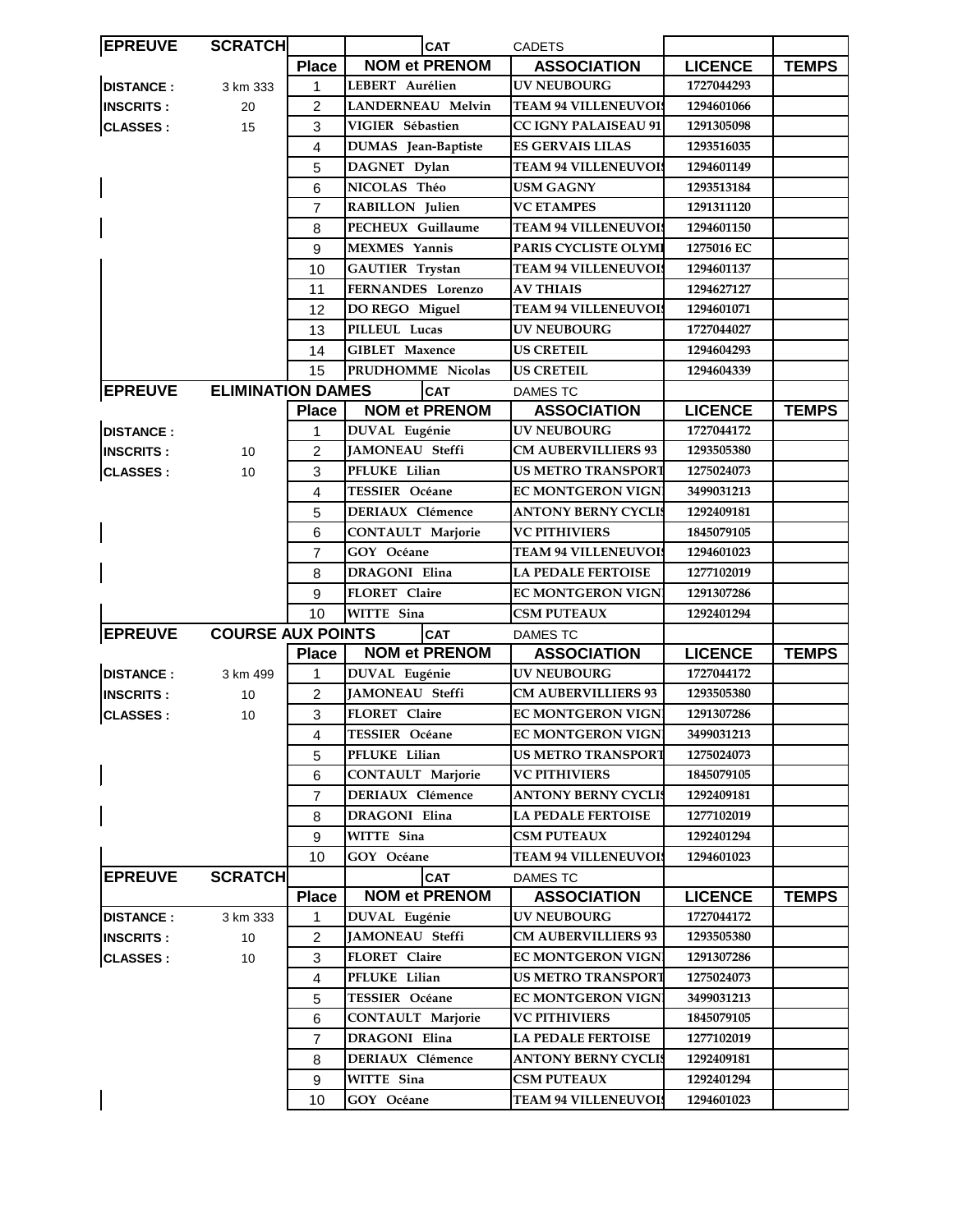| <b>EPREUVE</b>   | <b>SCRATCH</b>           |                | <b>CAT</b>               | <b>CADETS</b>               |                |              |
|------------------|--------------------------|----------------|--------------------------|-----------------------------|----------------|--------------|
|                  |                          | <b>Place</b>   | <b>NOM et PRENOM</b>     | <b>ASSOCIATION</b>          | <b>LICENCE</b> | <b>TEMPS</b> |
| <b>DISTANCE:</b> | 3 km 333                 | $\mathbf{1}$   | LEBERT Aurélien          | <b>UV NEUBOURG</b>          | 1727044293     |              |
| <b>INSCRITS:</b> | 20                       | $\overline{2}$ | <b>LANDERNEAU Melvin</b> | <b>TEAM 94 VILLENEUVOIS</b> | 1294601066     |              |
| <b>CLASSES:</b>  | 15                       | 3              | VIGIER Sébastien         | <b>CC IGNY PALAISEAU 91</b> | 1291305098     |              |
|                  |                          | 4              | DUMAS Jean-Baptiste      | <b>ES GERVAIS LILAS</b>     | 1293516035     |              |
|                  |                          | 5              | DAGNET Dylan             | <b>TEAM 94 VILLENEUVOI:</b> | 1294601149     |              |
|                  |                          | 6              | NICOLAS Théo             | <b>USM GAGNY</b>            | 1293513184     |              |
|                  |                          | $\overline{7}$ | RABILLON Julien          | <b>VC ETAMPES</b>           | 1291311120     |              |
|                  |                          | 8              | PECHEUX Guillaume        | <b>TEAM 94 VILLENEUVOI!</b> | 1294601150     |              |
|                  |                          | 9              | <b>MEXMES</b> Yannis     | PARIS CYCLISTE OLYMI        | 1275016 EC     |              |
|                  |                          | 10             | <b>GAUTIER Trystan</b>   | <b>TEAM 94 VILLENEUVOIS</b> | 1294601137     |              |
|                  |                          | 11             | FERNANDES Lorenzo        | <b>AV THIAIS</b>            | 1294627127     |              |
|                  |                          | 12             | DO REGO Miguel           | <b>TEAM 94 VILLENEUVOI</b>  | 1294601071     |              |
|                  |                          | 13             | PILLEUL Lucas            | <b>UV NEUBOURG</b>          | 1727044027     |              |
|                  |                          | 14             | <b>GIBLET</b> Maxence    | <b>US CRETEIL</b>           | 1294604293     |              |
|                  |                          | 15             | PRUDHOMME Nicolas        | <b>US CRETEIL</b>           | 1294604339     |              |
| <b>EPREUVE</b>   | <b>ELIMINATION DAMES</b> |                | <b>CAT</b>               | <b>DAMES TC</b>             |                |              |
|                  |                          | <b>Place</b>   | <b>NOM et PRENOM</b>     | <b>ASSOCIATION</b>          | <b>LICENCE</b> | <b>TEMPS</b> |
| <b>DISTANCE:</b> |                          | 1              | <b>DUVAL Eugénie</b>     | <b>UV NEUBOURG</b>          | 1727044172     |              |
| <b>INSCRITS:</b> | 10                       | 2              | <b>JAMONEAU Steffi</b>   | <b>CM AUBERVILLIERS 93</b>  | 1293505380     |              |
| <b>CLASSES:</b>  | 10                       | 3              | PFLUKE Lilian            | <b>US METRO TRANSPORT</b>   | 1275024073     |              |
|                  |                          | 4              | <b>TESSIER Océane</b>    | <b>EC MONTGERON VIGN</b>    | 3499031213     |              |
|                  |                          | 5              | <b>DERIAUX Clémence</b>  | ANTONY BERNY CYCLIS         | 1292409181     |              |
|                  |                          | 6              | CONTAULT Marjorie        | <b>VC PITHIVIERS</b>        | 1845079105     |              |
|                  |                          | $\overline{7}$ | GOY Océane               | <b>TEAM 94 VILLENEUVOIS</b> | 1294601023     |              |
|                  |                          | 8              | DRAGONI Elina            | <b>LA PEDALE FERTOISE</b>   | 1277102019     |              |
|                  |                          | 9              | FLORET Claire            | <b>EC MONTGERON VIGN</b>    | 1291307286     |              |
|                  |                          | 10             | WITTE Sina               | <b>CSM PUTEAUX</b>          | 1292401294     |              |
| <b>EPREUVE</b>   | <b>COURSE AUX POINTS</b> |                | <b>CAT</b>               | <b>DAMES TC</b>             |                |              |
|                  |                          | <b>Place</b>   | <b>NOM et PRENOM</b>     | <b>ASSOCIATION</b>          | <b>LICENCE</b> | <b>TEMPS</b> |
| <b>DISTANCE:</b> | 3 km 499                 | 1              | DUVAL Eugénie            | <b>UV NEUBOURG</b>          | 1727044172     |              |
| <b>INSCRITS:</b> | 10                       | $\overline{c}$ | JAMONEAU Steffi          | <b>CM AUBERVILLIERS 93</b>  | 1293505380     |              |
| <b>CLASSES:</b>  | 10                       | 3              | FLORET Claire            | <b>EC MONTGERON VIGN!</b>   | 1291307286     |              |
|                  |                          | 4              | TESSIER Océane           | <b>EC MONTGERON VIGNI</b>   | 3499031213     |              |
|                  |                          | 5              | PFLUKE Lilian            | <b>US METRO TRANSPORT</b>   | 1275024073     |              |
|                  |                          | 6              | <b>CONTAULT Marjorie</b> | <b>VC PITHIVIERS</b>        | 1845079105     |              |
|                  |                          | $\overline{7}$ | DERIAUX Clémence         | <b>ANTONY BERNY CYCLIS</b>  | 1292409181     |              |
|                  |                          | 8              | DRAGONI Elina            | <b>LA PEDALE FERTOISE</b>   | 1277102019     |              |
|                  |                          | 9              | WITTE Sina               | <b>CSM PUTEAUX</b>          | 1292401294     |              |
|                  |                          | 10             | GOY Océane               | <b>TEAM 94 VILLENEUVOIS</b> | 1294601023     |              |
| <b>EPREUVE</b>   | <b>SCRATCH</b>           |                | <b>CAT</b>               | <b>DAMES TC</b>             |                |              |
|                  |                          | <b>Place</b>   | <b>NOM et PRENOM</b>     | <b>ASSOCIATION</b>          | <b>LICENCE</b> | <b>TEMPS</b> |
| <b>DISTANCE:</b> | 3 km 333                 | 1              | <b>DUVAL Eugénie</b>     | <b>UV NEUBOURG</b>          | 1727044172     |              |
| <b>INSCRITS:</b> | 10                       | $\overline{c}$ | <b>JAMONEAU</b> Steffi   | <b>CM AUBERVILLIERS 93</b>  | 1293505380     |              |
| <b>CLASSES:</b>  | 10                       | 3              | FLORET Claire            | <b>EC MONTGERON VIGN</b>    | 1291307286     |              |
|                  |                          | 4              | PFLUKE Lilian            | <b>US METRO TRANSPORT</b>   | 1275024073     |              |
|                  |                          | 5              | TESSIER Océane           | <b>EC MONTGERON VIGNI</b>   | 3499031213     |              |
|                  |                          | 6              | <b>CONTAULT Marjorie</b> | <b>VC PITHIVIERS</b>        | 1845079105     |              |
|                  |                          | $\overline{7}$ | DRAGONI Elina            | <b>LA PEDALE FERTOISE</b>   | 1277102019     |              |
|                  |                          | 8              | DERIAUX Clémence         | <b>ANTONY BERNY CYCLIS</b>  | 1292409181     |              |
|                  |                          | 9              | WITTE Sina               | <b>CSM PUTEAUX</b>          | 1292401294     |              |
|                  |                          | 10             | GOY Océane               | <b>TEAM 94 VILLENEUVOI</b>  | 1294601023     |              |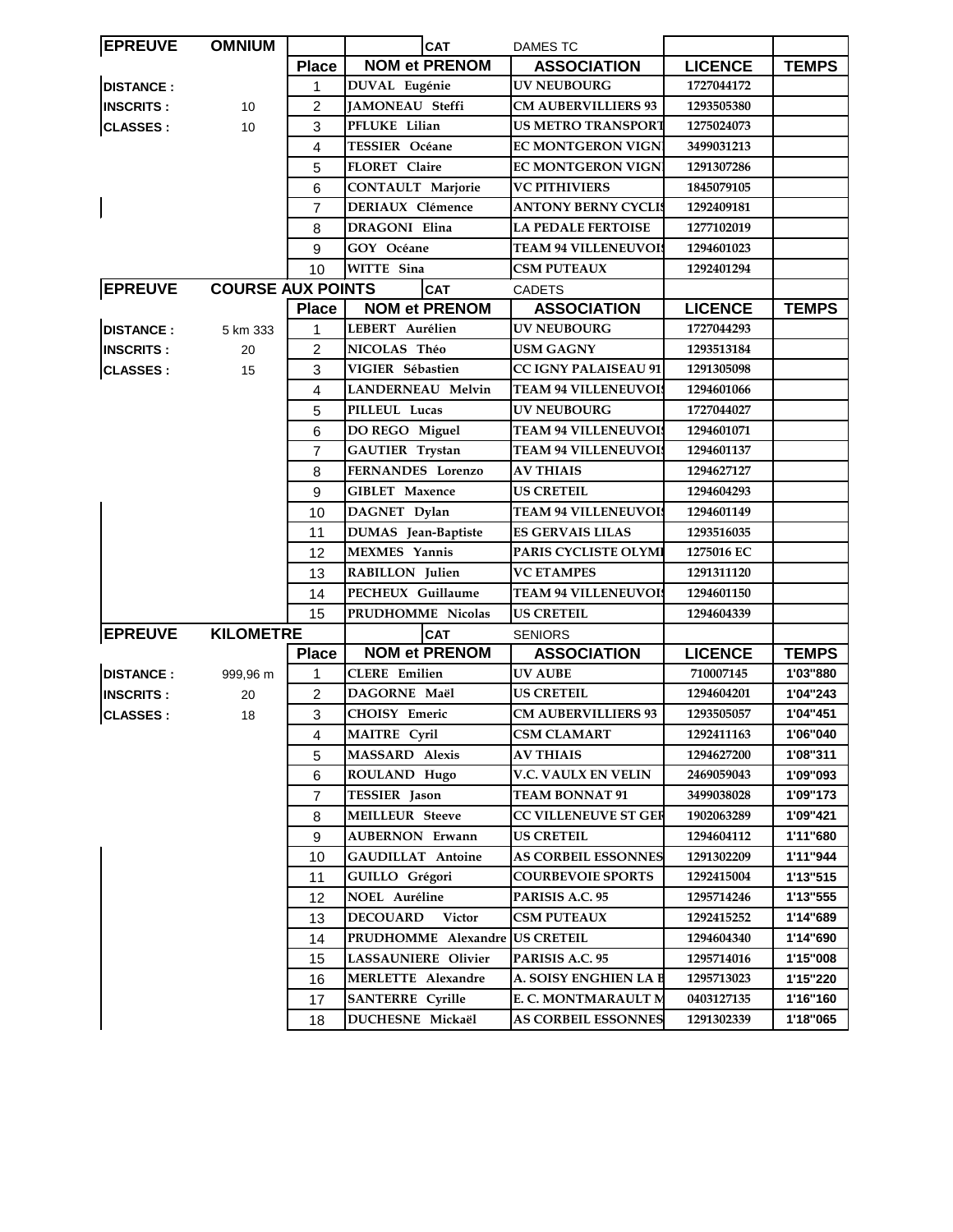| <b>EPREUVE</b>   | <b>OMNIUM</b>            |                | <b>CAT</b>                | <b>DAMES TC</b>             |                |              |
|------------------|--------------------------|----------------|---------------------------|-----------------------------|----------------|--------------|
|                  |                          | <b>Place</b>   | <b>NOM et PRENOM</b>      | <b>ASSOCIATION</b>          | <b>LICENCE</b> | <b>TEMPS</b> |
| <b>DISTANCE:</b> |                          | 1              | DUVAL Eugénie             | <b>UV NEUBOURG</b>          | 1727044172     |              |
| <b>INSCRITS:</b> | 10                       | $\overline{2}$ | JAMONEAU Steffi           | <b>CM AUBERVILLIERS 93</b>  | 1293505380     |              |
| <b>CLASSES:</b>  | 10                       | 3              | PFLUKE Lilian             | <b>US METRO TRANSPORT</b>   | 1275024073     |              |
|                  |                          | 4              | <b>TESSIER Océane</b>     | <b>EC MONTGERON VIGNI</b>   | 3499031213     |              |
|                  |                          | 5              | FLORET Claire             | <b>EC MONTGERON VIGNI</b>   | 1291307286     |              |
|                  |                          | 6              | <b>CONTAULT Marjorie</b>  | <b>VC PITHIVIERS</b>        | 1845079105     |              |
|                  |                          | 7              | <b>DERIAUX Clémence</b>   | ANTONY BERNY CYCLIS         | 1292409181     |              |
|                  |                          | 8              | <b>DRAGONI Elina</b>      | <b>LA PEDALE FERTOISE</b>   | 1277102019     |              |
|                  |                          | 9              | GOY Océane                | <b>TEAM 94 VILLENEUVOIS</b> | 1294601023     |              |
|                  |                          | 10             | WITTE Sina                | <b>CSM PUTEAUX</b>          | 1292401294     |              |
| <b>EPREUVE</b>   | <b>COURSE AUX POINTS</b> |                | <b>CAT</b>                | <b>CADETS</b>               |                |              |
|                  |                          | <b>Place</b>   | <b>NOM et PRENOM</b>      | <b>ASSOCIATION</b>          | <b>LICENCE</b> | <b>TEMPS</b> |
| <b>DISTANCE:</b> | 5 km 333                 | 1              | LEBERT Aurélien           | <b>UV NEUBOURG</b>          | 1727044293     |              |
| <b>INSCRITS:</b> | 20                       | 2              | NICOLAS Théo              | <b>USM GAGNY</b>            | 1293513184     |              |
| <b>CLASSES:</b>  | 15                       | 3              | VIGIER Sébastien          | <b>CC IGNY PALAISEAU 91</b> | 1291305098     |              |
|                  |                          | 4              | <b>LANDERNEAU Melvin</b>  | <b>TEAM 94 VILLENEUVOIS</b> | 1294601066     |              |
|                  |                          | 5              | PILLEUL Lucas             | <b>UV NEUBOURG</b>          | 1727044027     |              |
|                  |                          | 6              | DO REGO Miguel            | <b>TEAM 94 VILLENEUVOIS</b> | 1294601071     |              |
|                  |                          | 7              | <b>GAUTIER Trystan</b>    | <b>TEAM 94 VILLENEUVOIS</b> | 1294601137     |              |
|                  |                          | 8              | FERNANDES Lorenzo         | <b>AV THIAIS</b>            | 1294627127     |              |
|                  |                          | 9              | <b>GIBLET Maxence</b>     | <b>US CRETEIL</b>           | 1294604293     |              |
|                  |                          | 10             | DAGNET Dylan              | <b>TEAM 94 VILLENEUVOIS</b> | 1294601149     |              |
|                  |                          | 11             | DUMAS Jean-Baptiste       | <b>ES GERVAIS LILAS</b>     | 1293516035     |              |
|                  |                          | 12             | <b>MEXMES</b> Yannis      | PARIS CYCLISTE OLYMI        | 1275016 EC     |              |
|                  |                          | 13             | <b>RABILLON</b> Julien    | <b>VC ETAMPES</b>           | 1291311120     |              |
|                  |                          | 14             | PECHEUX Guillaume         | <b>TEAM 94 VILLENEUVOI!</b> | 1294601150     |              |
|                  |                          | 15             | PRUDHOMME Nicolas         | <b>US CRETEIL</b>           | 1294604339     |              |
| <b>EPREUVE</b>   | <b>KILOMETRE</b>         |                | CAT                       | <b>SENIORS</b>              |                |              |
|                  |                          | <b>Place</b>   | <b>NOM et PRENOM</b>      | <b>ASSOCIATION</b>          | <b>LICENCE</b> | <b>TEMPS</b> |
| <b>DISTANCE:</b> | 999,96 m                 | 1              | <b>CLERE</b> Emilien      | <b>UV AUBE</b>              | 710007145      | 1'03"880     |
| <b>INSCRITS:</b> | 20                       | $\overline{c}$ | DAGORNE Maël              | <b>US CRETEIL</b>           | 1294604201     | 1'04"243     |
| <b>CLASSES:</b>  | 18                       | $\sqrt{3}$     | CHOISY Emeric             | <b>CM AUBERVILLIERS 93</b>  | 1293505057     | 1'04"451     |
|                  |                          | $\overline{4}$ | MAITRE Cyril              | <b>CSM CLAMART</b>          | 1292411163     | 1'06"040     |
|                  |                          | 5              | <b>MASSARD Alexis</b>     | <b>AV THIAIS</b>            | 1294627200     | 1'08"311     |
|                  |                          | 6              | ROULAND Hugo              | V.C. VAULX EN VELIN         | 2469059043     | 1'09"093     |
|                  |                          | $\overline{7}$ | <b>TESSIER</b> Jason      | <b>TEAM BONNAT 91</b>       | 3499038028     | 1'09"173     |
|                  |                          | 8              | <b>MEILLEUR Steeve</b>    | CC VILLENEUVE ST GER        | 1902063289     | 1'09"421     |
|                  |                          | 9              | <b>AUBERNON Erwann</b>    | <b>US CRETEIL</b>           | 1294604112     | 1'11"680     |
|                  |                          | 10             | <b>GAUDILLAT Antoine</b>  | <b>AS CORBEIL ESSONNES</b>  | 1291302209     | 1'11"944     |
|                  |                          | 11             | GUILLO Grégori            | <b>COURBEVOIE SPORTS</b>    | 1292415004     | 1'13"515     |
|                  |                          | 12             | NOEL Auréline             | PARISIS A.C. 95             | 1295714246     | 1'13"555     |
|                  |                          | 13             | <b>DECOUARD</b><br>Victor | <b>CSM PUTEAUX</b>          | 1292415252     | 1'14"689     |
|                  |                          | 14             | PRUDHOMME Alexandre       | <b>US CRETEIL</b>           | 1294604340     | 1'14"690     |
|                  |                          | 15             | LASSAUNIERE Olivier       | PARISIS A.C. 95             | 1295714016     | 1'15"008     |
|                  |                          | 16             | MERLETTE Alexandre        | A. SOISY ENGHIEN LA B       | 1295713023     | 1'15"220     |
|                  |                          | 17             | <b>SANTERRE</b> Cyrille   | E. C. MONTMARAULT M         | 0403127135     | 1'16"160     |
|                  |                          | 18             | DUCHESNE Mickaël          | <b>AS CORBEIL ESSONNES</b>  | 1291302339     | 1'18"065     |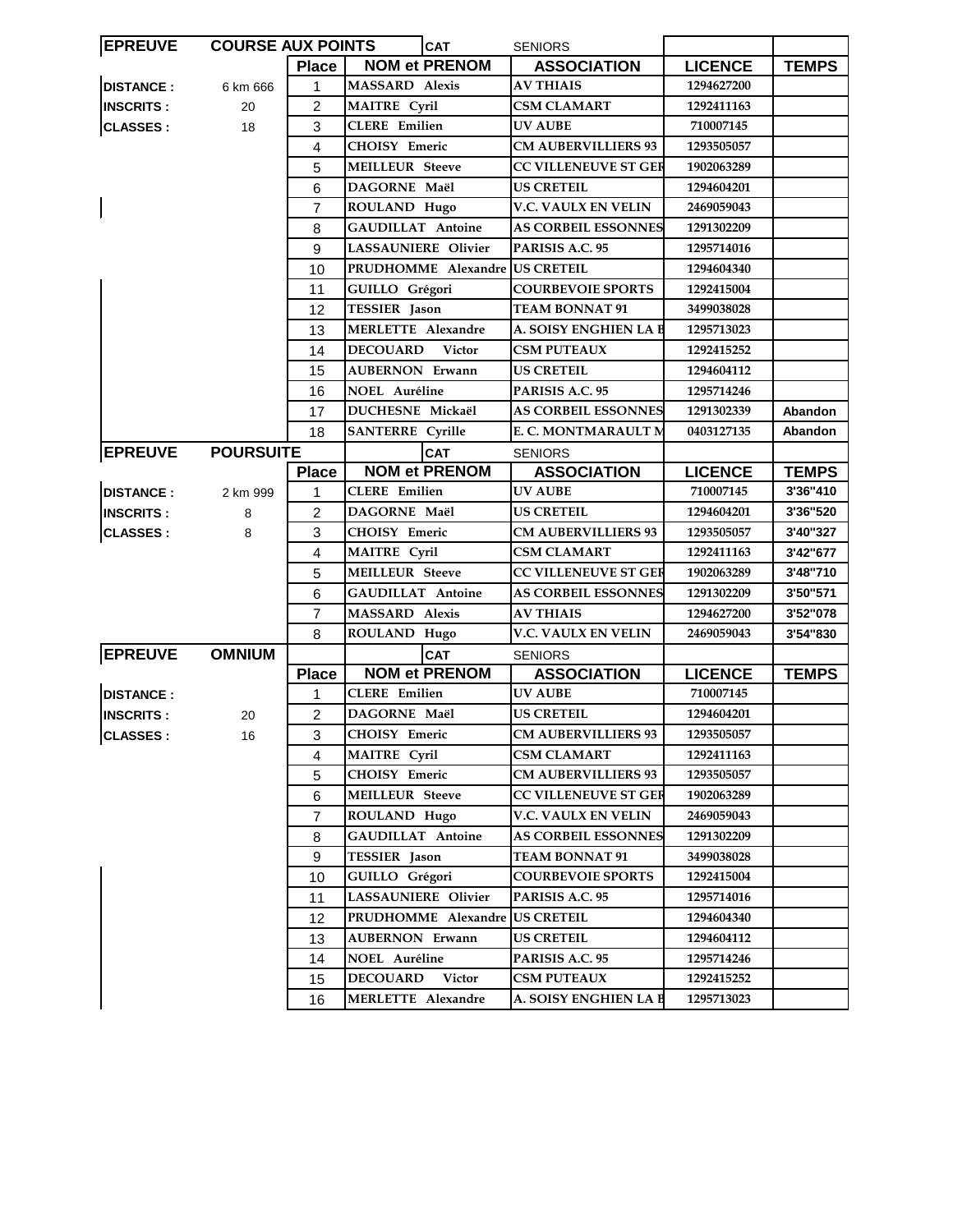| <b>EPREUVE</b>   | <b>COURSE AUX POINTS</b> |                | <b>CAT</b>                 |                                | <b>SENIORS</b>              |                |              |
|------------------|--------------------------|----------------|----------------------------|--------------------------------|-----------------------------|----------------|--------------|
|                  |                          | <b>Place</b>   |                            | <b>NOM et PRENOM</b>           | <b>ASSOCIATION</b>          | <b>LICENCE</b> | <b>TEMPS</b> |
| <b>DISTANCE:</b> | 6 km 666                 | 1              | MASSARD Alexis             |                                | <b>AV THIAIS</b>            | 1294627200     |              |
| <b>INSCRITS:</b> | 20                       | 2              | <b>MAITRE Cyril</b>        |                                | <b>CSM CLAMART</b>          | 1292411163     |              |
| <b>CLASSES:</b>  | 18                       | 3              | <b>CLERE</b> Emilien       |                                | UV AUBE                     | 710007145      |              |
|                  |                          | 4              | CHOISY Emeric              |                                | <b>CM AUBERVILLIERS 93</b>  | 1293505057     |              |
|                  |                          | 5              | <b>MEILLEUR Steeve</b>     |                                | <b>CC VILLENEUVE ST GER</b> | 1902063289     |              |
|                  |                          | 6              | DAGORNE Maël               |                                | <b>US CRETEIL</b>           | 1294604201     |              |
|                  |                          | 7              | ROULAND Hugo               |                                | V.C. VAULX EN VELIN         | 2469059043     |              |
|                  |                          | 8              | <b>GAUDILLAT Antoine</b>   |                                | <b>AS CORBEIL ESSONNES</b>  | 1291302209     |              |
|                  |                          | 9              | <b>LASSAUNIERE Olivier</b> |                                | PARISIS A.C. 95             | 1295714016     |              |
|                  |                          | 10             |                            | PRUDHOMME Alexandre US CRETEIL |                             | 1294604340     |              |
|                  |                          | 11             | GUILLO Grégori             |                                | <b>COURBEVOIE SPORTS</b>    | 1292415004     |              |
|                  |                          | 12             | TESSIER Jason              |                                | <b>TEAM BONNAT 91</b>       | 3499038028     |              |
|                  |                          | 13             | <b>MERLETTE Alexandre</b>  |                                | A. SOISY ENGHIEN LA B       | 1295713023     |              |
|                  |                          | 14             | <b>DECOUARD</b>            | <b>Victor</b>                  | <b>CSM PUTEAUX</b>          | 1292415252     |              |
|                  |                          | 15             | <b>AUBERNON Erwann</b>     |                                | <b>US CRETEIL</b>           | 1294604112     |              |
|                  |                          | 16             | <b>NOEL Auréline</b>       |                                | PARISIS A.C. 95             | 1295714246     |              |
|                  |                          | 17             | DUCHESNE Mickaël           |                                | <b>AS CORBEIL ESSONNES</b>  | 1291302339     | Abandon      |
|                  |                          | 18             | <b>SANTERRE</b> Cyrille    |                                | E. C. MONTMARAULT M         | 0403127135     | Abandon      |
| <b>EPREUVE</b>   | <b>POURSUITE</b>         |                |                            | <b>CAT</b>                     | <b>SENIORS</b>              |                |              |
|                  |                          | <b>Place</b>   |                            | <b>NOM et PRENOM</b>           | <b>ASSOCIATION</b>          | <b>LICENCE</b> | <b>TEMPS</b> |
| <b>DISTANCE:</b> | 2 km 999                 | 1              | <b>CLERE</b> Emilien       |                                | <b>UV AUBE</b>              | 710007145      | 3'36"410     |
| <b>INSCRITS:</b> | 8                        | 2              | <b>DAGORNE Maël</b>        |                                | <b>US CRETEIL</b>           | 1294604201     | 3'36"520     |
| <b>CLASSES:</b>  | 8                        | 3              | <b>CHOISY Emeric</b>       |                                | <b>CM AUBERVILLIERS 93</b>  | 1293505057     | 3'40"327     |
|                  |                          | 4              | <b>MAITRE</b> Cyril        |                                | <b>CSM CLAMART</b>          | 1292411163     | 3'42"677     |
|                  |                          | 5              | <b>MEILLEUR Steeve</b>     |                                | <b>CC VILLENEUVE ST GER</b> | 1902063289     | 3'48"710     |
|                  |                          | 6              | <b>GAUDILLAT Antoine</b>   |                                | <b>AS CORBEIL ESSONNES</b>  | 1291302209     | 3'50"571     |
|                  |                          | $\overline{7}$ | <b>MASSARD Alexis</b>      |                                | <b>AV THIAIS</b>            | 1294627200     | 3'52"078     |
|                  |                          | 8              | ROULAND Hugo               |                                | V.C. VAULX EN VELIN         | 2469059043     | 3'54"830     |
| <b>EPREUVE</b>   | <b>OMNIUM</b>            |                |                            | <b>CAT</b>                     | <b>SENIORS</b>              |                |              |
|                  |                          | <b>Place</b>   |                            | <b>NOM et PRENOM</b>           | <b>ASSOCIATION</b>          | <b>LICENCE</b> | <b>TEMPS</b> |
| <b>DISTANCE:</b> |                          | 1              | <b>CLERE</b> Emilien       |                                | <b>UV AUBE</b>              | 710007145      |              |
| <b>INSCRITS:</b> | 20                       | $\overline{2}$ | DAGORNE Maël               |                                | <b>US CRETEIL</b>           | 1294604201     |              |
| CLASSES :        | 16                       | 3              | CHOISY Emeric              |                                | <b>CM AUBERVILLIERS 93</b>  | 1293505057     |              |
|                  |                          | 4              | <b>MAITRE Cyril</b>        |                                | <b>CSM CLAMART</b>          | 1292411163     |              |
|                  |                          | 5              | CHOISY Emeric              |                                | <b>CM AUBERVILLIERS 93</b>  | 1293505057     |              |
|                  |                          | 6              | <b>MEILLEUR Steeve</b>     |                                | <b>CC VILLENEUVE ST GER</b> | 1902063289     |              |
|                  |                          | 7              | ROULAND Hugo               |                                | V.C. VAULX EN VELIN         | 2469059043     |              |
|                  |                          | 8              | GAUDILLAT Antoine          |                                | <b>AS CORBEIL ESSONNES</b>  | 1291302209     |              |
|                  |                          | 9              | TESSIER Jason              |                                | <b>TEAM BONNAT 91</b>       | 3499038028     |              |
|                  |                          | 10             | GUILLO Grégori             |                                | <b>COURBEVOIE SPORTS</b>    | 1292415004     |              |
|                  |                          | 11             | LASSAUNIERE Olivier        |                                | PARISIS A.C. 95             | 1295714016     |              |
|                  |                          | 12             |                            | PRUDHOMME Alexandre            | <b>US CRETEIL</b>           | 1294604340     |              |
|                  |                          | 13             | <b>AUBERNON Erwann</b>     |                                | <b>US CRETEIL</b>           | 1294604112     |              |
|                  |                          | 14             | NOEL Auréline              |                                | PARISIS A.C. 95             | 1295714246     |              |
|                  |                          | 15             | <b>DECOUARD</b>            | <b>Victor</b>                  | <b>CSM PUTEAUX</b>          | 1292415252     |              |
|                  |                          | 16             | MERLETTE Alexandre         |                                | A. SOISY ENGHIEN LA B       | 1295713023     |              |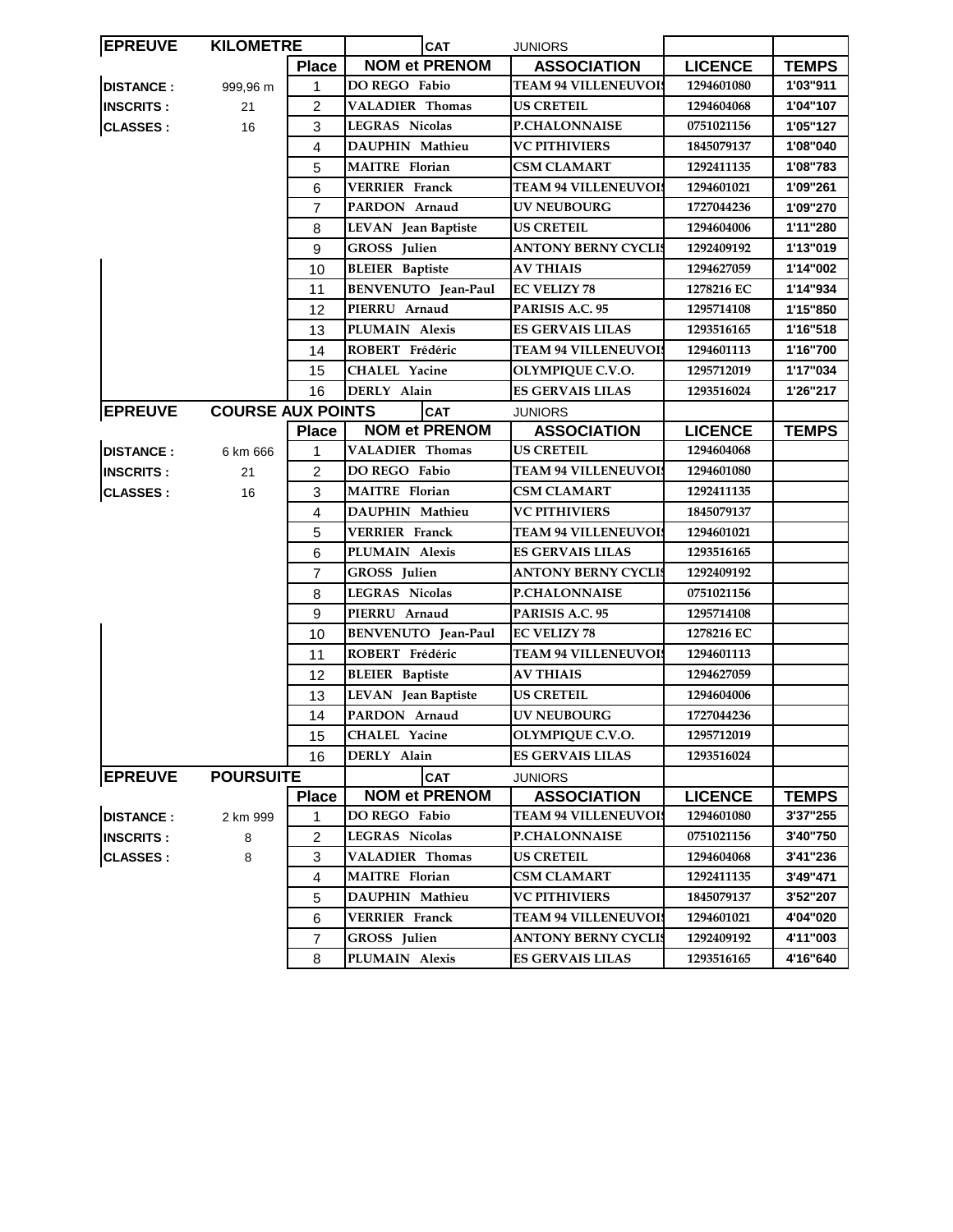| <b>EPREUVE</b>   | <b>KILOMETRE</b>         |                  | <b>CAT</b><br><b>JUNIORS</b> |                             |                |              |
|------------------|--------------------------|------------------|------------------------------|-----------------------------|----------------|--------------|
|                  |                          | <b>Place</b>     | <b>NOM et PRENOM</b>         | <b>ASSOCIATION</b>          | <b>LICENCE</b> | <b>TEMPS</b> |
| <b>DISTANCE:</b> | 999,96 m                 | $\mathbf{1}$     | DO REGO Fabio                | <b>TEAM 94 VILLENEUVOI</b>  | 1294601080     | 1'03"911     |
| <b>INSCRITS:</b> | 21                       | 2                | <b>VALADIER Thomas</b>       | <b>US CRETEIL</b>           | 1294604068     | 1'04"107     |
| <b>CLASSES:</b>  | 16                       | 3                | <b>LEGRAS Nicolas</b>        | P.CHALONNAISE               | 0751021156     | 1'05"127     |
|                  |                          | 4                | DAUPHIN Mathieu              | <b>VC PITHIVIERS</b>        | 1845079137     | 1'08"040     |
|                  |                          | 5                | <b>MAITRE</b> Florian        | <b>CSM CLAMART</b>          | 1292411135     | 1'08"783     |
|                  |                          | 6                | <b>VERRIER Franck</b>        | <b>TEAM 94 VILLENEUVOI!</b> | 1294601021     | 1'09"261     |
|                  |                          | $\overline{7}$   | PARDON Arnaud                | <b>UV NEUBOURG</b>          | 1727044236     | 1'09"270     |
|                  |                          | 8                | LEVAN Jean Baptiste          | <b>US CRETEIL</b>           | 1294604006     | 1'11"280     |
|                  |                          | 9                | GROSS Julien                 | <b>ANTONY BERNY CYCLIS</b>  | 1292409192     | 1'13"019     |
|                  |                          | 10               | <b>BLEIER</b> Baptiste       | <b>AV THIAIS</b>            | 1294627059     | 1'14"002     |
|                  |                          | 11               | BENVENUTO Jean-Paul          | <b>EC VELIZY 78</b>         | 1278216 EC     | 1'14"934     |
|                  |                          | 12               | PIERRU Arnaud                | PARISIS A.C. 95             | 1295714108     | 1'15"850     |
|                  |                          | 13               | PLUMAIN Alexis               | ES GERVAIS LILAS            | 1293516165     | 1'16"518     |
|                  |                          | 14               | ROBERT Frédéric              | <b>TEAM 94 VILLENEUVOIS</b> | 1294601113     | 1'16"700     |
|                  |                          | 15               | <b>CHALEL Yacine</b>         | OLYMPIQUE C.V.O.            | 1295712019     | 1'17"034     |
|                  |                          | 16               | DERLY Alain                  | <b>ES GERVAIS LILAS</b>     | 1293516024     | 1'26"217     |
| <b>EPREUVE</b>   | <b>COURSE AUX POINTS</b> |                  | <b>CAT</b>                   | <b>JUNIORS</b>              |                |              |
|                  |                          | <b>Place</b>     | <b>NOM et PRENOM</b>         | <b>ASSOCIATION</b>          | <b>LICENCE</b> | <b>TEMPS</b> |
| <b>DISTANCE:</b> | 6 km 666                 | 1                | <b>VALADIER Thomas</b>       | <b>US CRETEIL</b>           | 1294604068     |              |
| <b>INSCRITS:</b> | 21                       | $\overline{2}$   | DO REGO Fabio                | <b>TEAM 94 VILLENEUVOIS</b> | 1294601080     |              |
| <b>CLASSES:</b>  | 16                       | 3                | <b>MAITRE</b> Florian        | <b>CSM CLAMART</b>          | 1292411135     |              |
|                  |                          | 4                | DAUPHIN Mathieu              | <b>VC PITHIVIERS</b>        | 1845079137     |              |
|                  |                          | 5                | <b>VERRIER Franck</b>        | <b>TEAM 94 VILLENEUVOIS</b> | 1294601021     |              |
|                  |                          | 6                | PLUMAIN Alexis               | <b>ES GERVAIS LILAS</b>     | 1293516165     |              |
|                  |                          | $\overline{7}$   | GROSS Julien                 | ANTONY BERNY CYCLIS         | 1292409192     |              |
|                  |                          | 8                | <b>LEGRAS Nicolas</b>        | <b>P.CHALONNAISE</b>        | 0751021156     |              |
|                  |                          | 9                | PIERRU Arnaud                | PARISIS A.C. 95             | 1295714108     |              |
|                  |                          | 10               | BENVENUTO Jean-Paul          | <b>EC VELIZY 78</b>         | 1278216 EC     |              |
|                  |                          | 11               | ROBERT Frédéric              | <b>TEAM 94 VILLENEUVOIS</b> | 1294601113     |              |
|                  |                          | 12               | <b>BLEIER</b> Baptiste       | <b>AV THIAIS</b>            | 1294627059     |              |
|                  |                          | 13               | LEVAN Jean Baptiste          | <b>US CRETEIL</b>           | 1294604006     |              |
|                  |                          | 14               | PARDON Arnaud                | <b>UV NEUBOURG</b>          | 1727044236     |              |
|                  |                          | 15 <sub>15</sub> | CHALEL Yacine                | OLYMPIQUE C.V.O.            | 1295712019     |              |
|                  |                          | 16               | DERLY Alain                  | <b>ES GERVAIS LILAS</b>     | 1293516024     |              |
| <b>EPREUVE</b>   | <b>POURSUITE</b>         |                  | <b>CAT</b>                   | <b>JUNIORS</b>              |                |              |
|                  |                          | <b>Place</b>     | <b>NOM et PRENOM</b>         | <b>ASSOCIATION</b>          | <b>LICENCE</b> | <b>TEMPS</b> |
| <b>DISTANCE:</b> | 2 km 999                 | 1                | DO REGO Fabio                | <b>TEAM 94 VILLENEUVOIS</b> | 1294601080     | 3'37"255     |
| <b>INSCRITS:</b> | 8                        | $\overline{c}$   | <b>LEGRAS Nicolas</b>        | <b>P.CHALONNAISE</b>        | 0751021156     | 3'40"750     |
| <b>CLASSES:</b>  | 8                        | 3                | <b>VALADIER Thomas</b>       | <b>US CRETEIL</b>           | 1294604068     | 3'41"236     |
|                  |                          | 4                | <b>MAITRE</b> Florian        | CSM CLAMART                 | 1292411135     | 3'49"471     |
|                  |                          | 5                | DAUPHIN Mathieu              | <b>VC PITHIVIERS</b>        | 1845079137     | 3'52"207     |
|                  |                          | 6                | <b>VERRIER Franck</b>        | <b>TEAM 94 VILLENEUVOI!</b> | 1294601021     | 4'04"020     |
|                  |                          | 7                | GROSS Julien                 | <b>ANTONY BERNY CYCLIS</b>  | 1292409192     | 4'11"003     |
|                  |                          | 8                | PLUMAIN Alexis               | <b>ES GERVAIS LILAS</b>     | 1293516165     | 4'16"640     |